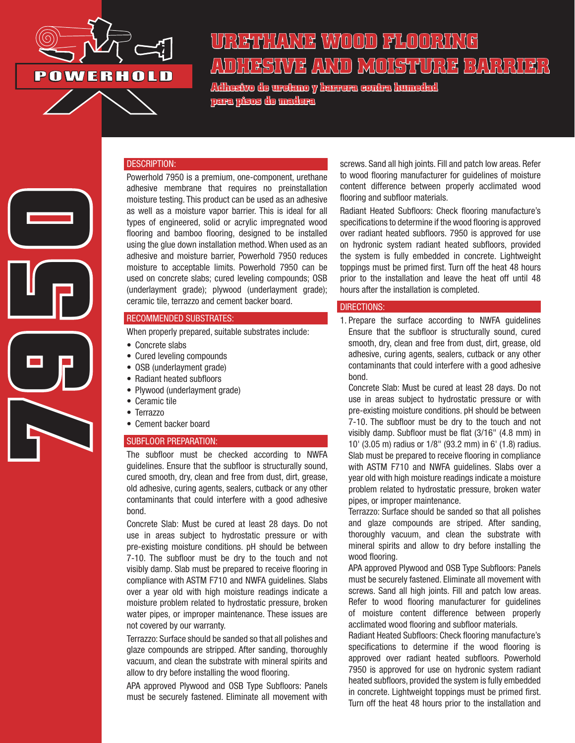

**7950**

# **URETHANE WOOD FLOORING ADHESIVE AND MOISTURE BARRIER**

**Adhesivo de uretano y barrera contra humedad para pisos de madera**



Powerhold 7950 is a premium, one-component, urethane adhesive membrane that requires no preinstallation moisture testing. This product can be used as an adhesive as well as a moisture vapor barrier. This is ideal for all types of engineered, solid or acrylic impregnated wood flooring and bamboo flooring, designed to be installed using the glue down installation method. When used as an adhesive and moisture barrier, Powerhold 7950 reduces moisture to acceptable limits. Powerhold 7950 can be used on concrete slabs; cured leveling compounds; OSB (underlayment grade); plywood (underlayment grade); ceramic tile, terrazzo and cement backer board.

#### RECOMMENDED SUBSTRATES:

When properly prepared, suitable substrates include:

- Concrete slabs
- Cured leveling compounds
- OSB (underlayment grade)
- Radiant heated subfloors
- Plywood (underlayment grade)
- Ceramic tile
- Terrazzo
- Cement backer board

#### SUBFLOOR PREPARATION:

The subfloor must be checked according to NWFA guidelines. Ensure that the subfloor is structurally sound, cured smooth, dry, clean and free from dust, dirt, grease, old adhesive, curing agents, sealers, cutback or any other contaminants that could interfere with a good adhesive bond.

Concrete Slab: Must be cured at least 28 days. Do not use in areas subject to hydrostatic pressure or with pre-existing moisture conditions. pH should be between 7-10. The subfloor must be dry to the touch and not visibly damp. Slab must be prepared to receive flooring in compliance with ASTM F710 and NWFA guidelines. Slabs over a year old with high moisture readings indicate a moisture problem related to hydrostatic pressure, broken water pipes, or improper maintenance. These issues are not covered by our warranty.

Terrazzo: Surface should be sanded so that all polishes and glaze compounds are stripped. After sanding, thoroughly vacuum, and clean the substrate with mineral spirits and allow to dry before installing the wood flooring.

APA approved Plywood and OSB Type Subfloors: Panels must be securely fastened. Eliminate all movement with screws. Sand all high joints. Fill and patch low areas. Refer to wood flooring manufacturer for guidelines of moisture content difference between properly acclimated wood flooring and subfloor materials.

Radiant Heated Subfloors: Check flooring manufacture's specifications to determine if the wood flooring is approved over radiant heated subfloors. 7950 is approved for use on hydronic system radiant heated subfloors, provided the system is fully embedded in concrete. Lightweight toppings must be primed first. Turn off the heat 48 hours prior to the installation and leave the heat off until 48 hours after the installation is completed.

#### DIRECTIONS:

1. Prepare the surface according to NWFA guidelines Ensure that the subfloor is structurally sound, cured smooth, dry, clean and free from dust, dirt, grease, old adhesive, curing agents, sealers, cutback or any other contaminants that could interfere with a good adhesive bond.

Concrete Slab: Must be cured at least 28 days. Do not use in areas subject to hydrostatic pressure or with pre-existing moisture conditions. pH should be between 7-10. The subfloor must be dry to the touch and not visibly damp. Subfloor must be flat (3/16" (4.8 mm) in 10' (3.05 m) radius or 1/8" (93.2 mm) in 6' (1.8) radius. Slab must be prepared to receive flooring in compliance with ASTM F710 and NWFA guidelines. Slabs over a year old with high moisture readings indicate a moisture problem related to hydrostatic pressure, broken water pipes, or improper maintenance.

Terrazzo: Surface should be sanded so that all polishes and glaze compounds are striped. After sanding, thoroughly vacuum, and clean the substrate with mineral spirits and allow to dry before installing the wood flooring.

APA approved Plywood and OSB Type Subfloors: Panels must be securely fastened. Eliminate all movement with screws. Sand all high joints. Fill and patch low areas. Refer to wood flooring manufacturer for guidelines of moisture content difference between properly acclimated wood flooring and subfloor materials.

Radiant Heated Subfloors: Check flooring manufacture's specifications to determine if the wood flooring is approved over radiant heated subfloors. Powerhold 7950 is approved for use on hydronic system radiant heated subfloors, provided the system is fully embedded in concrete. Lightweight toppings must be primed first. Turn off the heat 48 hours prior to the installation and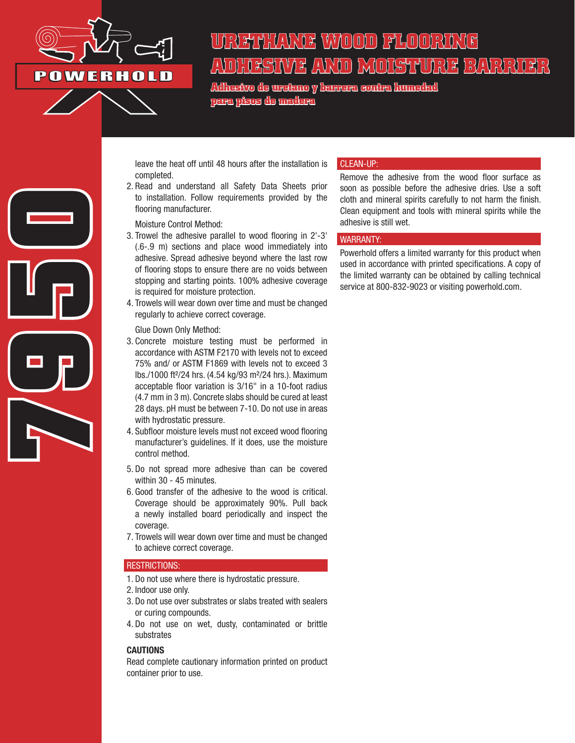

**7950**

# HYAYADID) PHHOID) FQDX **ADHESIVE AND MOISTURE BARRIER**

**Adhesivo de uretano y barrera contra humedad para pisos de madera**

leave the heat off until 48 hours after the installation is completed.

2. Read and understand all Safety Data Sheets prior to installation. Follow requirements provided by the flooring manufacturer.

Moisture Control Method:

- 3. Trowel the adhesive parallel to wood flooring in 2'-3' (.6-.9 m) sections and place wood immediately into adhesive. Spread adhesive beyond where the last row of flooring stops to ensure there are no voids between stopping and starting points. 100% adhesive coverage is required for moisture protection.
- 4. Trowels will wear down over time and must be changed regularly to achieve correct coverage.

Glue Down Only Method:

- 3. Concrete moisture testing must be performed in accordance with ASTM F2170 with levels not to exceed 75% and/ or ASTM F1869 with levels not to exceed 3 lbs./1000 ft²/24 hrs. (4.54 kg/93 m²/24 hrs.). Maximum acceptable floor variation is 3/16" in a 10-foot radius (4.7 mm in 3 m). Concrete slabs should be cured at least 28 days. pH must be between 7-10. Do not use in areas with hydrostatic pressure.
- 4. Subfloor moisture levels must not exceed wood flooring manufacturer's guidelines. If it does, use the moisture control method.
- 5. Do not spread more adhesive than can be covered within 30 - 45 minutes.
- 6. Good transfer of the adhesive to the wood is critical. Coverage should be approximately 90%. Pull back a newly installed board periodically and inspect the coverage.
- 7. Trowels will wear down over time and must be changed to achieve correct coverage.

# RESTRICTIONS:

- 1. Do not use where there is hydrostatic pressure.
- 2. Indoor use only.
- 3. Do not use over substrates or slabs treated with sealers or curing compounds.
- 4. Do not use on wet, dusty, contaminated or brittle substrates

### **CAUTIONS**

Read complete cautionary information printed on product container prior to use.

### CLEAN-UP:

Remove the adhesive from the wood floor surface as soon as possible before the adhesive dries. Use a soft cloth and mineral spirits carefully to not harm the finish. Clean equipment and tools with mineral spirits while the adhesive is still wet.

#### WARRANTY:

Powerhold offers a limited warranty for this product when used in accordance with printed specifications. A copy of the limited warranty can be obtained by calling technical service at 800-832-9023 or visiting powerhold.com.